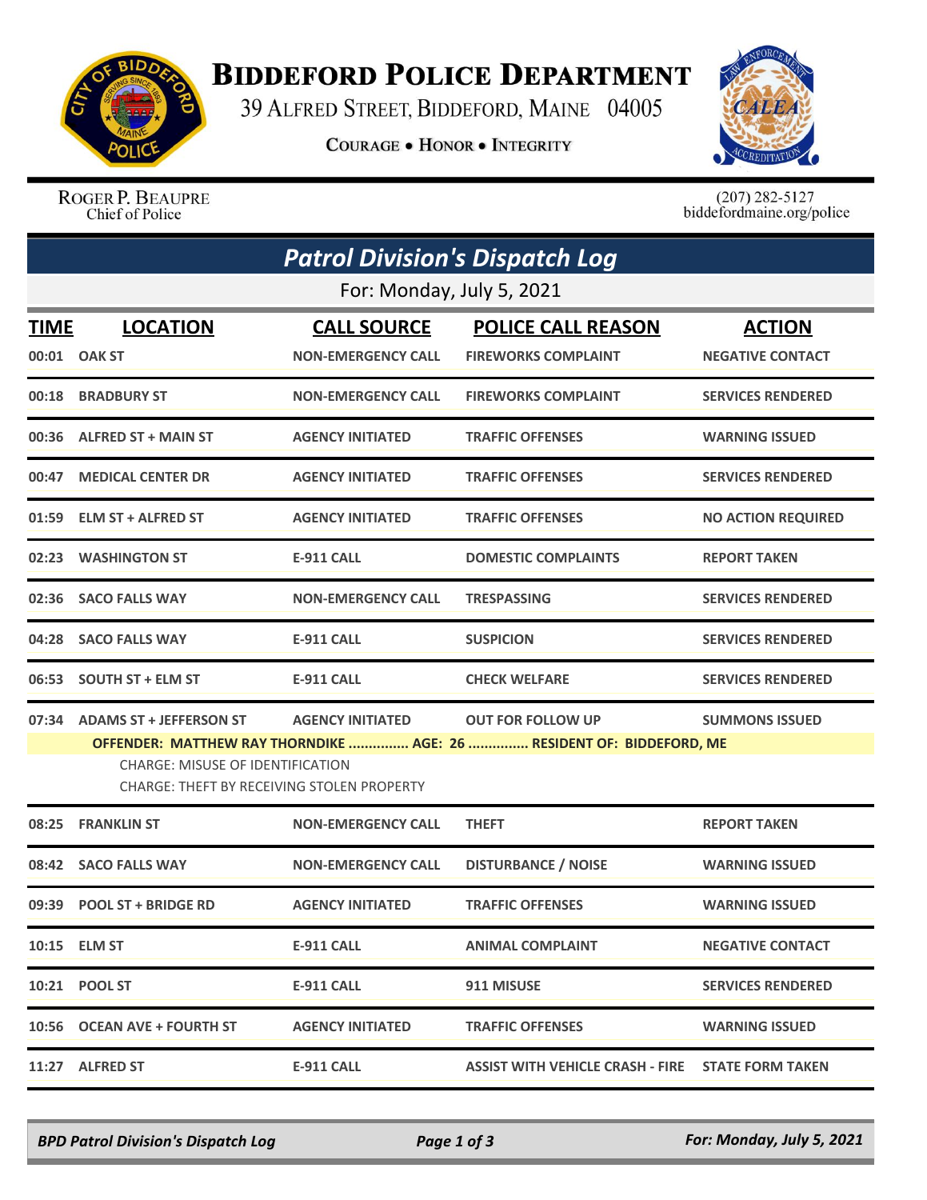

## **BIDDEFORD POLICE DEPARTMENT**

39 ALFRED STREET, BIDDEFORD, MAINE 04005

**COURAGE . HONOR . INTEGRITY** 



ROGER P. BEAUPRE Chief of Police

 $(207)$  282-5127<br>biddefordmaine.org/police

|                                                                                                                                                                                                                                                                                       | <b>Patrol Division's Dispatch Log</b> |                                                 |                                                         |                                          |  |  |  |  |
|---------------------------------------------------------------------------------------------------------------------------------------------------------------------------------------------------------------------------------------------------------------------------------------|---------------------------------------|-------------------------------------------------|---------------------------------------------------------|------------------------------------------|--|--|--|--|
| For: Monday, July 5, 2021                                                                                                                                                                                                                                                             |                                       |                                                 |                                                         |                                          |  |  |  |  |
| <b>TIME</b>                                                                                                                                                                                                                                                                           | <b>LOCATION</b><br>00:01 OAK ST       | <b>CALL SOURCE</b><br><b>NON-EMERGENCY CALL</b> | <b>POLICE CALL REASON</b><br><b>FIREWORKS COMPLAINT</b> | <b>ACTION</b><br><b>NEGATIVE CONTACT</b> |  |  |  |  |
| 00:18                                                                                                                                                                                                                                                                                 | <b>BRADBURY ST</b>                    | <b>NON-EMERGENCY CALL</b>                       | <b>FIREWORKS COMPLAINT</b>                              | <b>SERVICES RENDERED</b>                 |  |  |  |  |
|                                                                                                                                                                                                                                                                                       | 00:36 ALFRED ST + MAIN ST             | <b>AGENCY INITIATED</b>                         | <b>TRAFFIC OFFENSES</b>                                 | <b>WARNING ISSUED</b>                    |  |  |  |  |
|                                                                                                                                                                                                                                                                                       | 00:47 MEDICAL CENTER DR               | <b>AGENCY INITIATED</b>                         | <b>TRAFFIC OFFENSES</b>                                 | <b>SERVICES RENDERED</b>                 |  |  |  |  |
|                                                                                                                                                                                                                                                                                       | 01:59 ELM ST + ALFRED ST              | <b>AGENCY INITIATED</b>                         | <b>TRAFFIC OFFENSES</b>                                 | <b>NO ACTION REQUIRED</b>                |  |  |  |  |
|                                                                                                                                                                                                                                                                                       | 02:23 WASHINGTON ST                   | <b>E-911 CALL</b>                               | <b>DOMESTIC COMPLAINTS</b>                              | <b>REPORT TAKEN</b>                      |  |  |  |  |
|                                                                                                                                                                                                                                                                                       | 02:36 SACO FALLS WAY                  | <b>NON-EMERGENCY CALL</b>                       | <b>TRESPASSING</b>                                      | <b>SERVICES RENDERED</b>                 |  |  |  |  |
|                                                                                                                                                                                                                                                                                       | 04:28 SACO FALLS WAY                  | <b>E-911 CALL</b>                               | <b>SUSPICION</b>                                        | <b>SERVICES RENDERED</b>                 |  |  |  |  |
|                                                                                                                                                                                                                                                                                       | 06:53 SOUTH ST + ELM ST               | <b>E-911 CALL</b>                               | <b>CHECK WELFARE</b>                                    | <b>SERVICES RENDERED</b>                 |  |  |  |  |
| 07:34 ADAMS ST + JEFFERSON ST<br><b>AGENCY INITIATED</b><br><b>OUT FOR FOLLOW UP</b><br><b>SUMMONS ISSUED</b><br>OFFENDER: MATTHEW RAY THORNDIKE  AGE: 26  RESIDENT OF: BIDDEFORD, ME<br><b>CHARGE: MISUSE OF IDENTIFICATION</b><br><b>CHARGE: THEFT BY RECEIVING STOLEN PROPERTY</b> |                                       |                                                 |                                                         |                                          |  |  |  |  |
| 08:25                                                                                                                                                                                                                                                                                 | <b>FRANKLIN ST</b>                    | <b>NON-EMERGENCY CALL</b>                       | <b>THEFT</b>                                            | <b>REPORT TAKEN</b>                      |  |  |  |  |
|                                                                                                                                                                                                                                                                                       | 08:42 SACO FALLS WAY                  | <b>NON-EMERGENCY CALL</b>                       | <b>DISTURBANCE / NOISE</b>                              | <b>WARNING ISSUED</b>                    |  |  |  |  |
|                                                                                                                                                                                                                                                                                       | 09:39 POOL ST + BRIDGE RD             | <b>AGENCY INITIATED</b>                         | <b>TRAFFIC OFFENSES</b>                                 | <b>WARNING ISSUED</b>                    |  |  |  |  |
|                                                                                                                                                                                                                                                                                       | 10:15 ELM ST                          | <b>E-911 CALL</b>                               | <b>ANIMAL COMPLAINT</b>                                 | <b>NEGATIVE CONTACT</b>                  |  |  |  |  |
|                                                                                                                                                                                                                                                                                       | 10:21 POOL ST                         | <b>E-911 CALL</b>                               | 911 MISUSE                                              | <b>SERVICES RENDERED</b>                 |  |  |  |  |
|                                                                                                                                                                                                                                                                                       | 10:56 OCEAN AVE + FOURTH ST           | <b>AGENCY INITIATED</b>                         | <b>TRAFFIC OFFENSES</b>                                 | <b>WARNING ISSUED</b>                    |  |  |  |  |
|                                                                                                                                                                                                                                                                                       | 11:27 ALFRED ST                       | <b>E-911 CALL</b>                               |                                                         |                                          |  |  |  |  |

*BPD Patrol Division's Dispatch Log Page 1 of 3 For: Monday, July 5, 2021*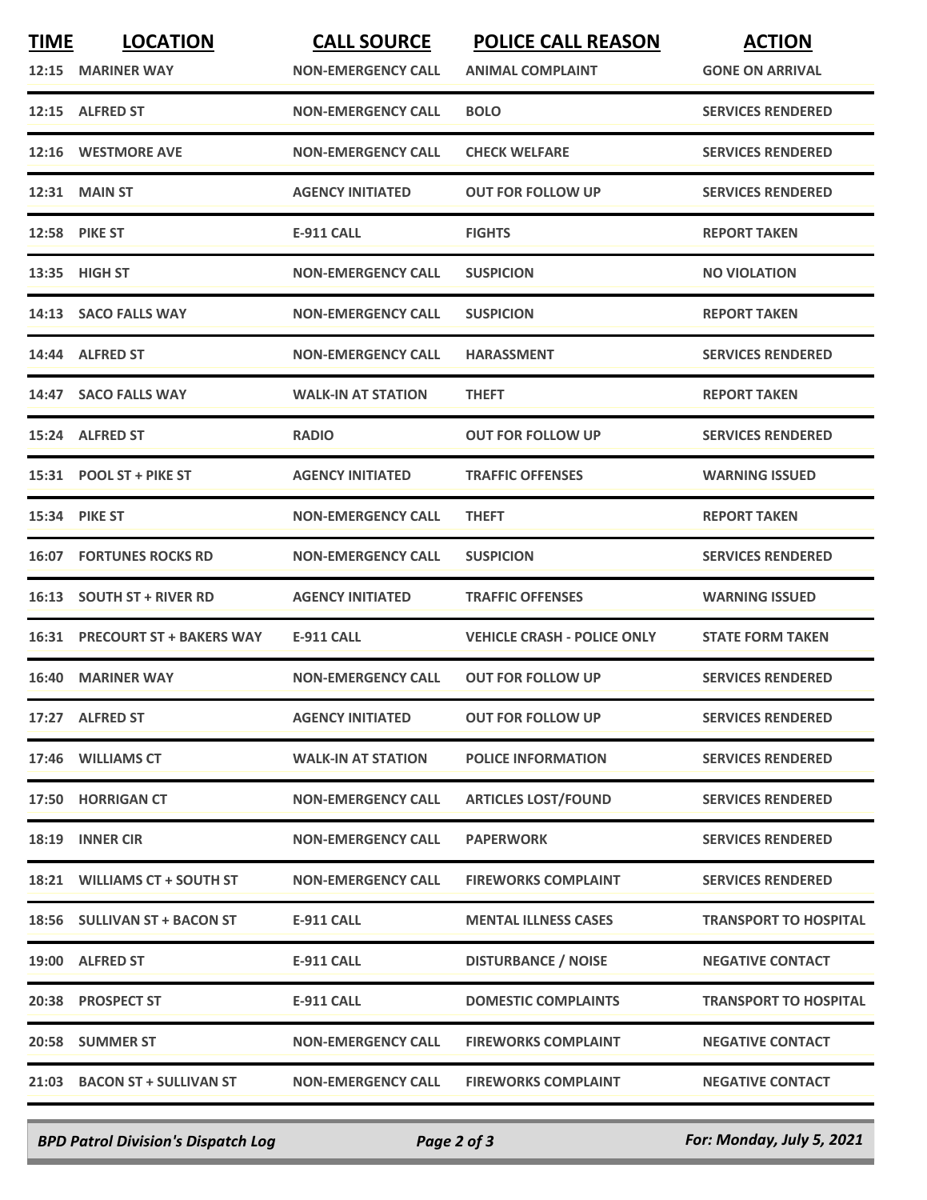| <b>TIME</b> | <b>LOCATION</b><br>12:15 MARINER WAY | <b>CALL SOURCE</b><br><b>NON-EMERGENCY CALL</b> | <b>POLICE CALL REASON</b><br><b>ANIMAL COMPLAINT</b> | <b>ACTION</b><br><b>GONE ON ARRIVAL</b> |
|-------------|--------------------------------------|-------------------------------------------------|------------------------------------------------------|-----------------------------------------|
|             | 12:15 ALFRED ST                      | <b>NON-EMERGENCY CALL</b>                       | <b>BOLO</b>                                          | <b>SERVICES RENDERED</b>                |
|             | 12:16 WESTMORE AVE                   | <b>NON-EMERGENCY CALL</b>                       | <b>CHECK WELFARE</b>                                 | <b>SERVICES RENDERED</b>                |
|             | <b>12:31 MAIN ST</b>                 | <b>AGENCY INITIATED</b>                         | <b>OUT FOR FOLLOW UP</b>                             | <b>SERVICES RENDERED</b>                |
|             | <b>12:58 PIKE ST</b>                 | <b>E-911 CALL</b>                               | <b>FIGHTS</b>                                        | <b>REPORT TAKEN</b>                     |
|             | 13:35 HIGH ST                        | <b>NON-EMERGENCY CALL</b>                       | <b>SUSPICION</b>                                     | <b>NO VIOLATION</b>                     |
|             | 14:13 SACO FALLS WAY                 | <b>NON-EMERGENCY CALL</b>                       | <b>SUSPICION</b>                                     | <b>REPORT TAKEN</b>                     |
|             | 14:44 ALFRED ST                      | <b>NON-EMERGENCY CALL</b>                       | <b>HARASSMENT</b>                                    | <b>SERVICES RENDERED</b>                |
|             | 14:47 SACO FALLS WAY                 | <b>WALK-IN AT STATION</b>                       | <b>THEFT</b>                                         | <b>REPORT TAKEN</b>                     |
|             | 15:24 ALFRED ST                      | <b>RADIO</b>                                    | <b>OUT FOR FOLLOW UP</b>                             | <b>SERVICES RENDERED</b>                |
|             | 15:31 POOL ST + PIKE ST              | <b>AGENCY INITIATED</b>                         | <b>TRAFFIC OFFENSES</b>                              | <b>WARNING ISSUED</b>                   |
|             | <b>15:34 PIKE ST</b>                 | <b>NON-EMERGENCY CALL</b>                       | <b>THEFT</b>                                         | <b>REPORT TAKEN</b>                     |
|             | <b>16:07 FORTUNES ROCKS RD</b>       | <b>NON-EMERGENCY CALL</b>                       | <b>SUSPICION</b>                                     | <b>SERVICES RENDERED</b>                |
|             | 16:13 SOUTH ST + RIVER RD            | <b>AGENCY INITIATED</b>                         | <b>TRAFFIC OFFENSES</b>                              | <b>WARNING ISSUED</b>                   |
|             | 16:31 PRECOURT ST + BAKERS WAY       | <b>E-911 CALL</b>                               | <b>VEHICLE CRASH - POLICE ONLY</b>                   | <b>STATE FORM TAKEN</b>                 |
| 16:40       | <b>MARINER WAY</b>                   | <b>NON-EMERGENCY CALL</b>                       | <b>OUT FOR FOLLOW UP</b>                             | <b>SERVICES RENDERED</b>                |
|             | 17:27 ALFRED ST                      | <b>AGENCY INITIATED</b>                         | <b>OUT FOR FOLLOW UP</b>                             | <b>SERVICES RENDERED</b>                |
|             | 17:46 WILLIAMS CT                    | <b>WALK-IN AT STATION</b>                       | <b>POLICE INFORMATION</b>                            | <b>SERVICES RENDERED</b>                |
|             | 17:50 HORRIGAN CT                    | <b>NON-EMERGENCY CALL</b>                       | <b>ARTICLES LOST/FOUND</b>                           | <b>SERVICES RENDERED</b>                |
|             | 18:19 INNER CIR                      | <b>NON-EMERGENCY CALL</b>                       | <b>PAPERWORK</b>                                     | <b>SERVICES RENDERED</b>                |
|             | 18:21 WILLIAMS CT + SOUTH ST         | <b>NON-EMERGENCY CALL</b>                       | <b>FIREWORKS COMPLAINT</b>                           | <b>SERVICES RENDERED</b>                |
|             | 18:56 SULLIVAN ST + BACON ST         | <b>E-911 CALL</b>                               | <b>MENTAL ILLNESS CASES</b>                          | <b>TRANSPORT TO HOSPITAL</b>            |
|             | 19:00 ALFRED ST                      | <b>E-911 CALL</b>                               | <b>DISTURBANCE / NOISE</b>                           | <b>NEGATIVE CONTACT</b>                 |
|             | 20:38 PROSPECT ST                    | <b>E-911 CALL</b>                               | <b>DOMESTIC COMPLAINTS</b>                           | <b>TRANSPORT TO HOSPITAL</b>            |
|             | 20:58 SUMMER ST                      | <b>NON-EMERGENCY CALL</b>                       | <b>FIREWORKS COMPLAINT</b>                           | <b>NEGATIVE CONTACT</b>                 |
|             | 21:03 BACON ST + SULLIVAN ST         | <b>NON-EMERGENCY CALL</b>                       | <b>FIREWORKS COMPLAINT</b>                           | <b>NEGATIVE CONTACT</b>                 |
|             |                                      |                                                 |                                                      |                                         |

*BPD Patrol Division's Dispatch Log Page 2 of 3 For: Monday, July 5, 2021*